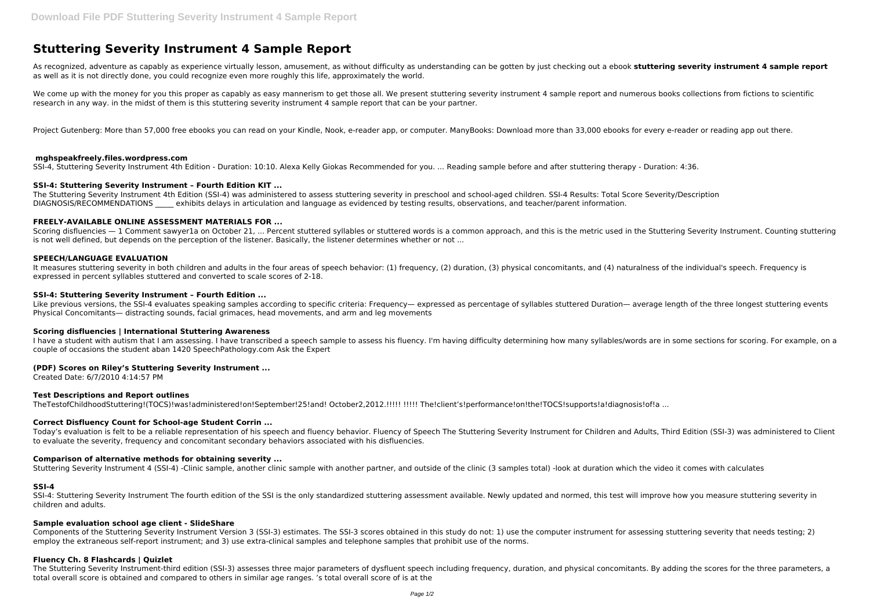# **Stuttering Severity Instrument 4 Sample Report**

As recognized, adventure as capably as experience virtually lesson, amusement, as without difficulty as understanding can be gotten by just checking out a ebook **stuttering severity instrument 4 sample report** as well as it is not directly done, you could recognize even more roughly this life, approximately the world.

We come up with the money for you this proper as capably as easy mannerism to get those all. We present stuttering severity instrument 4 sample report and numerous books collections from fictions to scientific research in any way. in the midst of them is this stuttering severity instrument 4 sample report that can be your partner.

Project Gutenberg: More than 57,000 free ebooks you can read on your Kindle, Nook, e-reader app, or computer. ManyBooks: Download more than 33,000 ebooks for every e-reader or reading app out there.

The Stuttering Severity Instrument 4th Edition (SSI-4) was administered to assess stuttering severity in preschool and school-aged children. SSI-4 Results: Total Score Severity/Description DIAGNOSIS/RECOMMENDATIONS exhibits delays in articulation and language as evidenced by testing results, observations, and teacher/parent information.

# **mghspeakfreely.files.wordpress.com**

Scoring disfluencies — 1 Comment sawyer1a on October 21, ... Percent stuttered syllables or stuttered words is a common approach, and this is the metric used in the Stuttering Severity Instrument. Counting stuttering is not well defined, but depends on the perception of the listener. Basically, the listener determines whether or not ...

SSI-4, Stuttering Severity Instrument 4th Edition - Duration: 10:10. Alexa Kelly Giokas Recommended for you. ... Reading sample before and after stuttering therapy - Duration: 4:36.

# **SSI-4: Stuttering Severity Instrument – Fourth Edition KIT ...**

Like previous versions, the SSI-4 evaluates speaking samples according to specific criteria: Frequency— expressed as percentage of syllables stuttered Duration— average length of the three longest stuttering events Physical Concomitants— distracting sounds, facial grimaces, head movements, and arm and leg movements

I have a student with autism that I am assessing. I have transcribed a speech sample to assess his fluency. I'm having difficulty determining how many syllables/words are in some sections for scoring. For example, on a couple of occasions the student aban 1420 SpeechPathology.com Ask the Expert

# **FREELY-AVAILABLE ONLINE ASSESSMENT MATERIALS FOR ...**

# **SPEECH/LANGUAGE EVALUATION**

SSI-4: Stuttering Severity Instrument The fourth edition of the SSI is the only standardized stuttering assessment available. Newly updated and normed, this test will improve how you measure stuttering severity in children and adults.

It measures stuttering severity in both children and adults in the four areas of speech behavior: (1) frequency, (2) duration, (3) physical concomitants, and (4) naturalness of the individual's speech. Frequency is expressed in percent syllables stuttered and converted to scale scores of 2-18.

# **SSI-4: Stuttering Severity Instrument – Fourth Edition ...**

The Stuttering Severity Instrument-third edition (SSI-3) assesses three major parameters of dysfluent speech including frequency, duration, and physical concomitants. By adding the scores for the three parameters, a total overall score is obtained and compared to others in similar age ranges. 's total overall score of is at the

# **Scoring disfluencies | International Stuttering Awareness**

# **(PDF) Scores on Riley's Stuttering Severity Instrument ...**

Created Date: 6/7/2010 4:14:57 PM

# **Test Descriptions and Report outlines**

TheTestofChildhoodStuttering!(TOCS)!was!administered!on!September!25!and! October2,2012.!!!!! !!!!! The!client's!performance!on!the!TOCS!supports!a!diagnosis!of!a ...

# **Correct Disfluency Count for School-age Student Corrin ...**

Today's evaluation is felt to be a reliable representation of his speech and fluency behavior. Fluency of Speech The Stuttering Severity Instrument for Children and Adults, Third Edition (SSI-3) was administered to Client to evaluate the severity, frequency and concomitant secondary behaviors associated with his disfluencies.

# **Comparison of alternative methods for obtaining severity ...**

Stuttering Severity Instrument 4 (SSI-4) -Clinic sample, another clinic sample with another partner, and outside of the clinic (3 samples total) -look at duration which the video it comes with calculates

### **SSI-4**

# **Sample evaluation school age client - SlideShare**

Components of the Stuttering Severity Instrument Version 3 (SSI-3) estimates. The SSI-3 scores obtained in this study do not: 1) use the computer instrument for assessing stuttering severity that needs testing; 2) employ the extraneous self-report instrument; and 3) use extra-clinical samples and telephone samples that prohibit use of the norms.

# **Fluency Ch. 8 Flashcards | Quizlet**